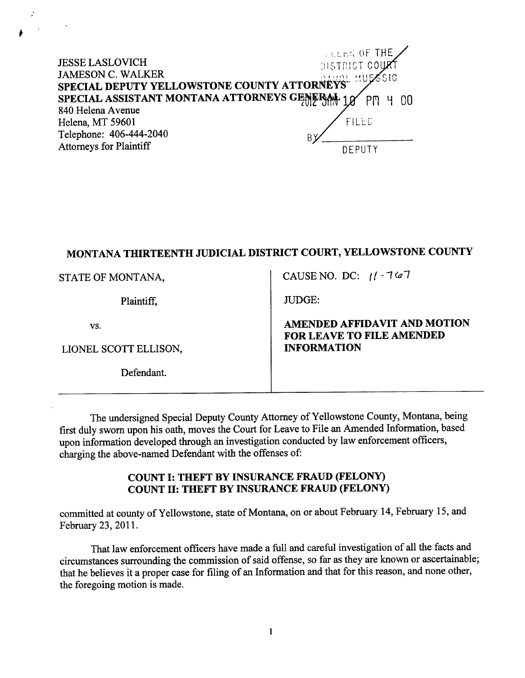**LEER OF THE** JESSE LASLOVICH JAMESON C. WALKER .1r.,i\i l,!i  $S1G$ SPECIAL DEPUTY YELLOWSTONE COUNTY ATTORNEYS SPECIAL ASSISTANT MONTANA ATTORNEYS GEMERAL 18 PM 4 00 840 Helena Avenue Helena, MT 59601 FILED Telephone: 406-444-2040 Attomeys for Plaintiff DEPUTY

## MONTANA THIRTEENTH JUDICIAL DISTRICT COURT, YELLOWSTONE COUNTY

| STATE OF MONTANA,     | CAUSE NO. DC: $11 - 767$                                  |
|-----------------------|-----------------------------------------------------------|
| Plaintiff,            | <b>JUDGE:</b>                                             |
| VS.                   | AMENDED AFFIDAVIT AND MOTION<br>FOR LEAVE TO FILE AMENDED |
| LIONEL SCOTT ELLISON, | <b>INFORMATION</b>                                        |
| Defendant             |                                                           |

The undersigned Special Deputy County Attorney of Yellowstone County, Montana, being first duly sworn upon his oath, moves the Court for Leave to File an Amended Information, based upon information developed through an investigation conducted by law enforcement officers, charging the above-named Defendant with the offenses of:

## COUNT I: THEFT BY INSURANCE FRAUD (FELONY) COUNT II: THEFT BY INSURANCE FRAUD (FELONY)

committed at county of Yellowstone, state of Montana, on or about February 14, February 15, and February 23,2011.

That law enforcement officers have made a futl and careful investigation of all the facts and circumstances surrounding the commission of said offense, so far as they are known or ascertainable; that he believes it a proper case for filing of an Information and that for this reason, and none other, the foregoing motion is made.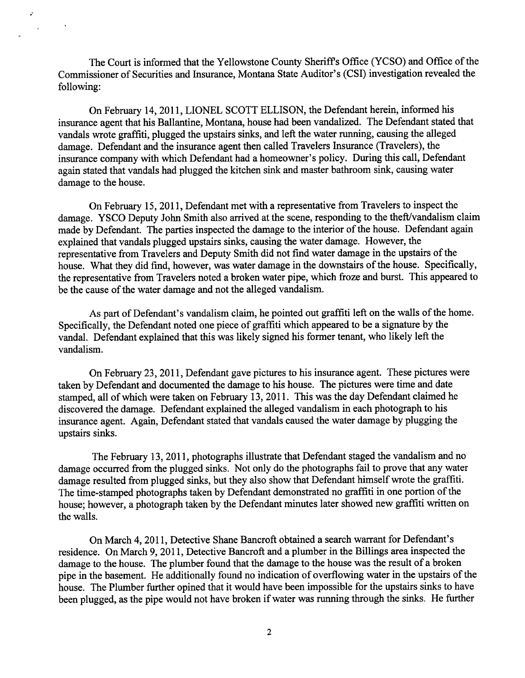The Court is informed that the Yellowstone County Sheriff's Office (YCSO) and Office of the Commissioner of Securities and Insurance, Montana State Auditor's (CSD investigation revealed the following:

 $\mathcal{L}$ 

 $\chi^2$  and

 $\sim 100$ 

On February 14,2011, LIONEL SCOTT ELLISON, the Defendant herein, informed his insurance agent that his Ballantine, Montana, house had been vandalized. The Defendant stated that vandals wrote graffrti, plugged the upstairs sinks, and left the water running, causing the alleged damage. Defendant and the insurance agent then called Travelers Insurance (Travelers), the insurance company with which Defendant had a homeowner's policy. During this call, Defendant again stated that vandals had plugged the kitchen sink and master bathroom sink, causing water damage to the house.

On February 15,2011, Defendant met with a representative from Travelers to inspect the damage. YSCO Deputy John Smith also arrived at the scene, responding to the theff/vandalism claim made by Defendant. The parties inspected the damage to the interior of the house. Defendant again explained that vandals plugged upstairs sinks, causing the water damage. However, the representative from Travelers and Deputy Smith did not find water damage in the upstairs of the house. What they did find, however, was water damage in the downstairs of the house. Specifically, the representative from Travelers noted a broken water pipe, which froze and burst. This appeared to be the cause of the water damage and not the alleged vandalism.

As part of Defendant's vandalism claim, he pointed out graffiti left on the walls of the home. Specifically, the Defendant noted one piece of graffiti which appeared to be a signature by the vandal. Defendant explained that this was likely signed his former tenant, who likely left the vandalism.

On February 23,2011, Defendant gave pictures to his insurance agent. These pictures were taken by Defendant and documented the damage to his house. The pictures were time and date stamped, all of which were taken on February 13,2011. This was the day Defendant claimed he discovered the damage. Defendant explained the alleged vandalism in each photograph to his insurance agent. Again, Defendant stated that vandals caused the water damage by plugging the upstairs sinks.

The February 13,2011, photographs illustrate that Defendant staged the vandalism and no damage occurred from the plugged sinks. Not only do the photographs fail to prove that any water damage resulted from plugged sinks, but they also show that Defendant himself wrote the graffrti. The time-stamped photographs taken by Defendant demonstrated no graffiti in one portion of the house; however, a photograph taken by the Defendant minutes later showed new graffiti written on the walls.

On March 4,2011, Detective Shane Bancroft obtained a search warrant for Defendant's residence. On March 9,2011, Detective Bancroft and a plumber in the Billings area inspected the damage to the house. The plumber found that the damage to the house was the result of a broken pipe in the basement. He additionally found no indication of overflowing water in the upstairs of the house. The Plumber further opined that it would have been impossible for the upstairs sinks to have been plugged, as the pipe would not have broken if water was running through the sinks. He further